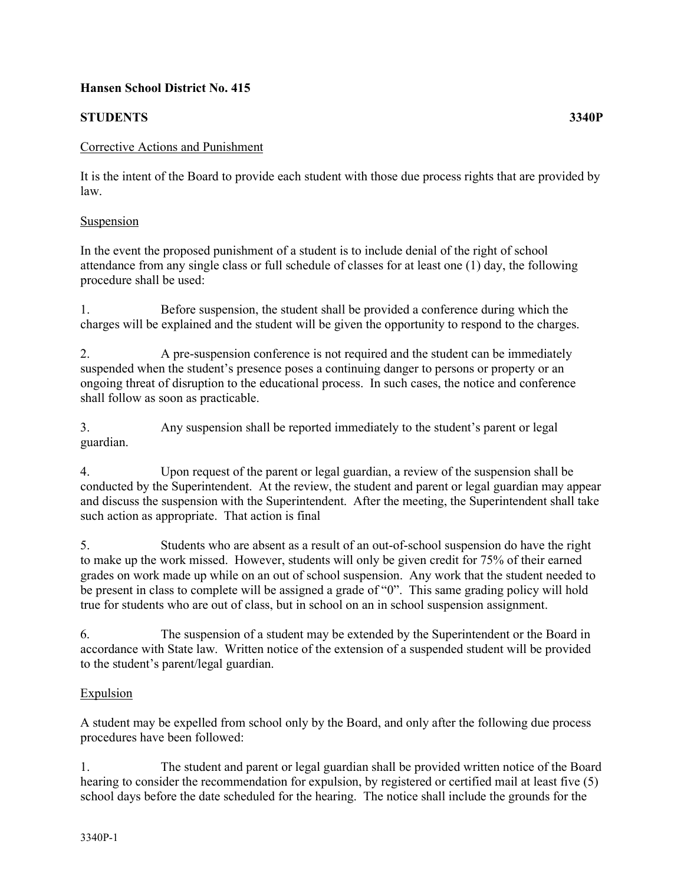## **Hansen School District No. 415**

# **STUDENTS 3340P**

## Corrective Actions and Punishment

It is the intent of the Board to provide each student with those due process rights that are provided by law.

#### **Suspension**

In the event the proposed punishment of a student is to include denial of the right of school attendance from any single class or full schedule of classes for at least one (1) day, the following procedure shall be used:

1. Before suspension, the student shall be provided a conference during which the charges will be explained and the student will be given the opportunity to respond to the charges.

2. A pre-suspension conference is not required and the student can be immediately suspended when the student's presence poses a continuing danger to persons or property or an ongoing threat of disruption to the educational process. In such cases, the notice and conference shall follow as soon as practicable.

3. Any suspension shall be reported immediately to the student's parent or legal guardian.

4. Upon request of the parent or legal guardian, a review of the suspension shall be conducted by the Superintendent. At the review, the student and parent or legal guardian may appear and discuss the suspension with the Superintendent. After the meeting, the Superintendent shall take such action as appropriate. That action is final

5. Students who are absent as a result of an out-of-school suspension do have the right to make up the work missed. However, students will only be given credit for 75% of their earned grades on work made up while on an out of school suspension. Any work that the student needed to be present in class to complete will be assigned a grade of "0". This same grading policy will hold true for students who are out of class, but in school on an in school suspension assignment.

6. The suspension of a student may be extended by the Superintendent or the Board in accordance with State law. Written notice of the extension of a suspended student will be provided to the student's parent/legal guardian.

# Expulsion

A student may be expelled from school only by the Board, and only after the following due process procedures have been followed:

1. The student and parent or legal guardian shall be provided written notice of the Board hearing to consider the recommendation for expulsion, by registered or certified mail at least five (5) school days before the date scheduled for the hearing. The notice shall include the grounds for the